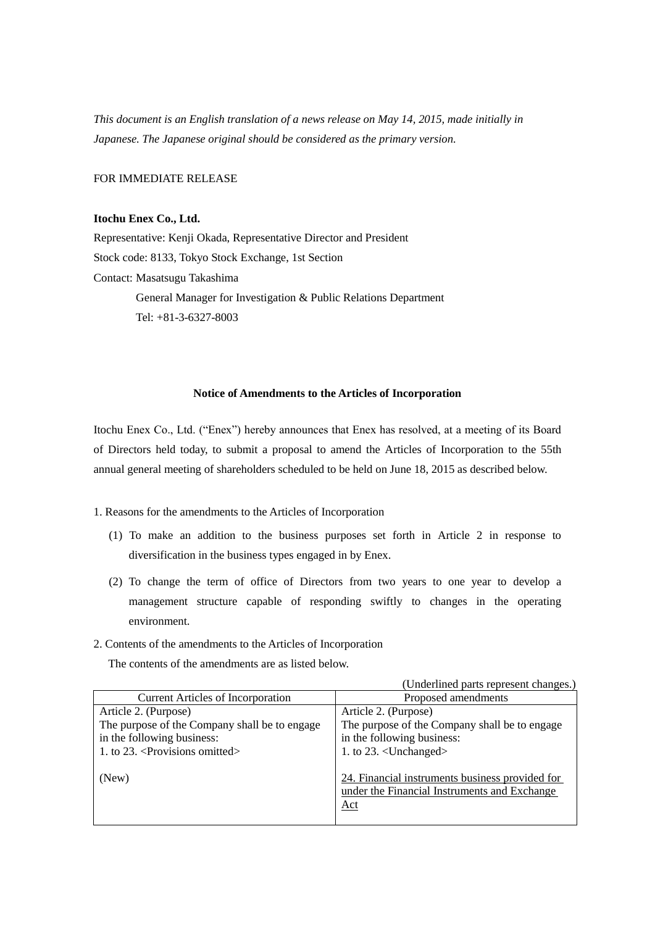*This document is an English translation of a news release on May 14, 2015, made initially in Japanese. The Japanese original should be considered as the primary version.*

FOR IMMEDIATE RELEASE

## **Itochu Enex Co., Ltd.**

Representative: Kenji Okada, Representative Director and President Stock code: 8133, Tokyo Stock Exchange, 1st Section Contact: Masatsugu Takashima General Manager for Investigation & Public Relations Department Tel: +81-3-6327-8003

## **Notice of Amendments to the Articles of Incorporation**

Itochu Enex Co., Ltd. ("Enex") hereby announces that Enex has resolved, at a meeting of its Board of Directors held today, to submit a proposal to amend the Articles of Incorporation to the 55th annual general meeting of shareholders scheduled to be held on June 18, 2015 as described below.

1. Reasons for the amendments to the Articles of Incorporation

- (1) To make an addition to the business purposes set forth in Article 2 in response to diversification in the business types engaged in by Enex.
- (2) To change the term of office of Directors from two years to one year to develop a management structure capable of responding swiftly to changes in the operating environment.
- 2. Contents of the amendments to the Articles of Incorporation

The contents of the amendments are as listed below.

|                                                | (Underlined parts represent changes.)                                                                          |
|------------------------------------------------|----------------------------------------------------------------------------------------------------------------|
| <b>Current Articles of Incorporation</b>       | Proposed amendments                                                                                            |
| Article 2. (Purpose)                           | Article 2. (Purpose)                                                                                           |
| The purpose of the Company shall be to engage  | The purpose of the Company shall be to engage                                                                  |
| in the following business:                     | in the following business:                                                                                     |
| 1. to 23. <provisions omitted=""></provisions> | 1. to $23. <$ Unchanged>                                                                                       |
| (New)                                          | 24. Financial instruments business provided for<br>under the Financial Instruments and Exchange<br>$\Delta ct$ |